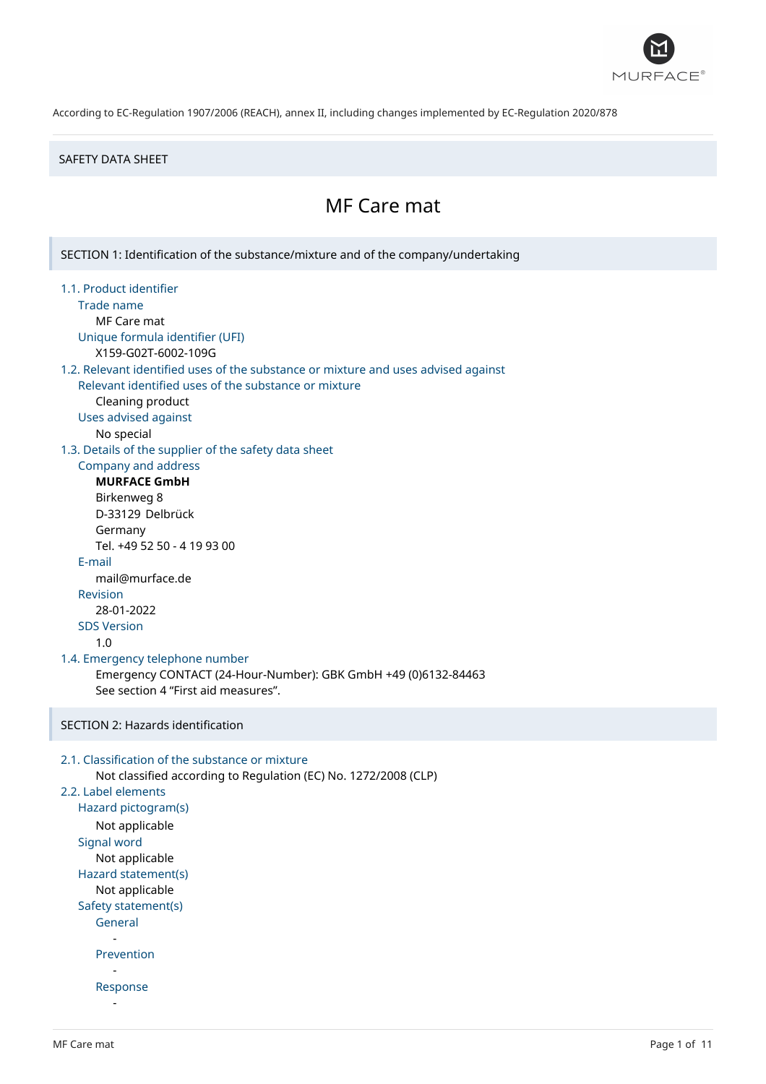

#### SAFETY DATA SHEET

# MF Care mat

SECTION 1: Identification of the substance/mixture and of the company/undertaking 1.1. Product identifier Trade name MF Care mat Unique formula identifier (UFI) X159-G02T-6002-109G 1.2. Relevant identified uses of the substance or mixture and uses advised against Relevant identified uses of the substance or mixture Cleaning product Uses advised against No special 1.3. Details of the supplier of the safety data sheet Company and address **MURFACE GmbH** Birkenweg 8 D-33129 Delbrück Germany Tel. +49 52 50 - 4 19 93 00 E-mail mail@murface.de Revision 28-01-2022 SDS Version 1.0 1.4. Emergency telephone number Emergency CONTACT (24-Hour-Number): GBK GmbH +49 (0)6132-84463 See section 4 "First aid measures". SECTION 2: Hazards identification 2.1. Classification of the substance or mixture Not classified according to Regulation (EC) No. 1272/2008 (CLP) 2.2. Label elements Hazard pictogram(s) Not applicable Signal word Not applicable Hazard statement(s) Not applicable Safety statement(s) General - Prevention - Response -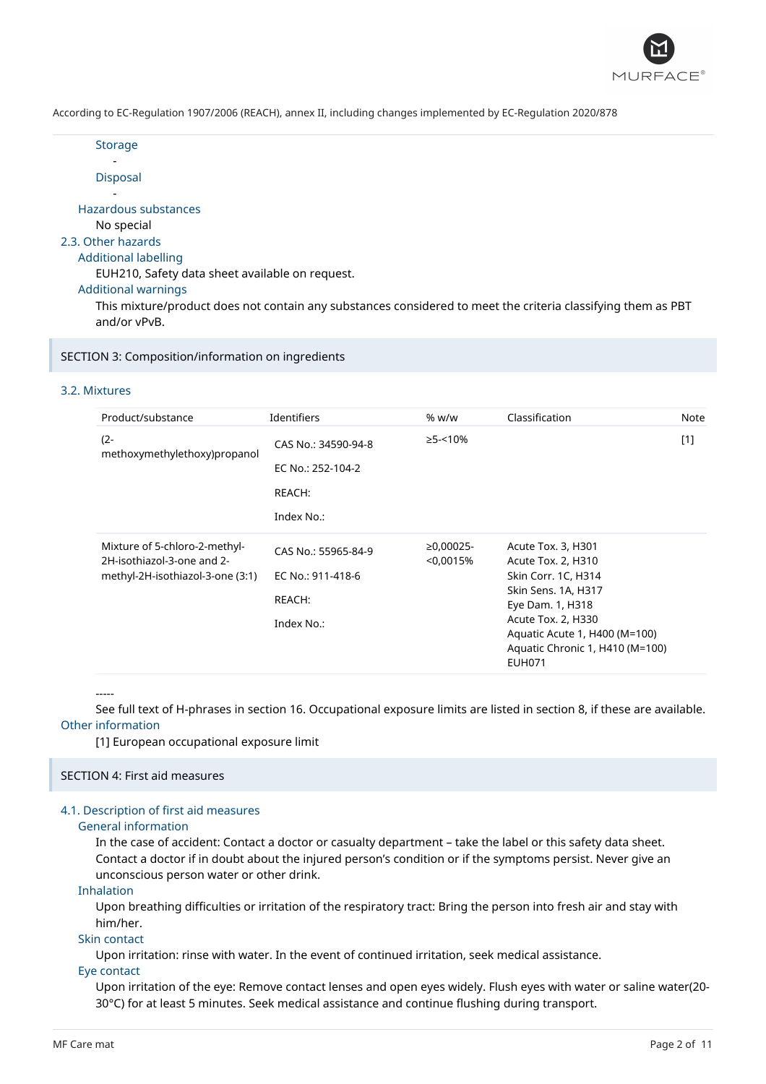

**Storage** 

- Disposal

- Hazardous substances

No special

## 2.3. Other hazards

## Additional labelling

EUH210, Safety data sheet available on request.

Additional warnings

This mixture/product does not contain any substances considered to meet the criteria classifying them as PBT and/or vPvB.

SECTION 3: Composition/information on ingredients

## 3.2. Mixtures

| Product/substance                                           | Identifiers         | % w/w                    | Classification                                                                    | Note  |
|-------------------------------------------------------------|---------------------|--------------------------|-----------------------------------------------------------------------------------|-------|
| $(2 -$<br>methoxymethylethoxy)propanol                      | CAS No.: 34590-94-8 | $\geq$ 5-<10%            |                                                                                   | $[1]$ |
|                                                             | EC No.: 252-104-2   |                          |                                                                                   |       |
|                                                             | REACH:              |                          |                                                                                   |       |
|                                                             | Index No.:          |                          |                                                                                   |       |
| Mixture of 5-chloro-2-methyl-<br>2H-isothiazol-3-one and 2- | CAS No.: 55965-84-9 | $≥0,00025-$<br>< 0.0015% | Acute Tox. 3, H301<br>Acute Tox. 2, H310                                          |       |
| methyl-2H-isothiazol-3-one (3:1)                            | EC No.: 911-418-6   |                          | Skin Corr. 1C, H314                                                               |       |
|                                                             | REACH:              |                          | Skin Sens. 1A, H317<br>Eye Dam. 1, H318<br>Acute Tox. 2, H330                     |       |
|                                                             | Index No.:          |                          | Aquatic Acute 1, H400 (M=100)<br>Aquatic Chronic 1, H410 (M=100)<br><b>EUH071</b> |       |

-----

See full text of H-phrases in section 16. Occupational exposure limits are listed in section 8, if these are available. Other information

[1] European occupational exposure limit

## SECTION 4: First aid measures

## 4.1. Description of first aid measures

## General information

In the case of accident: Contact a doctor or casualty department – take the label or this safety data sheet. Contact a doctor if in doubt about the injured person's condition or if the symptoms persist. Never give an unconscious person water or other drink.

Inhalation

Upon breathing difficulties or irritation of the respiratory tract: Bring the person into fresh air and stay with him/her.

### Skin contact

Upon irritation: rinse with water. In the event of continued irritation, seek medical assistance.

Eye contact

Upon irritation of the eye: Remove contact lenses and open eyes widely. Flush eyes with water or saline water(20- 30°C) for at least 5 minutes. Seek medical assistance and continue flushing during transport.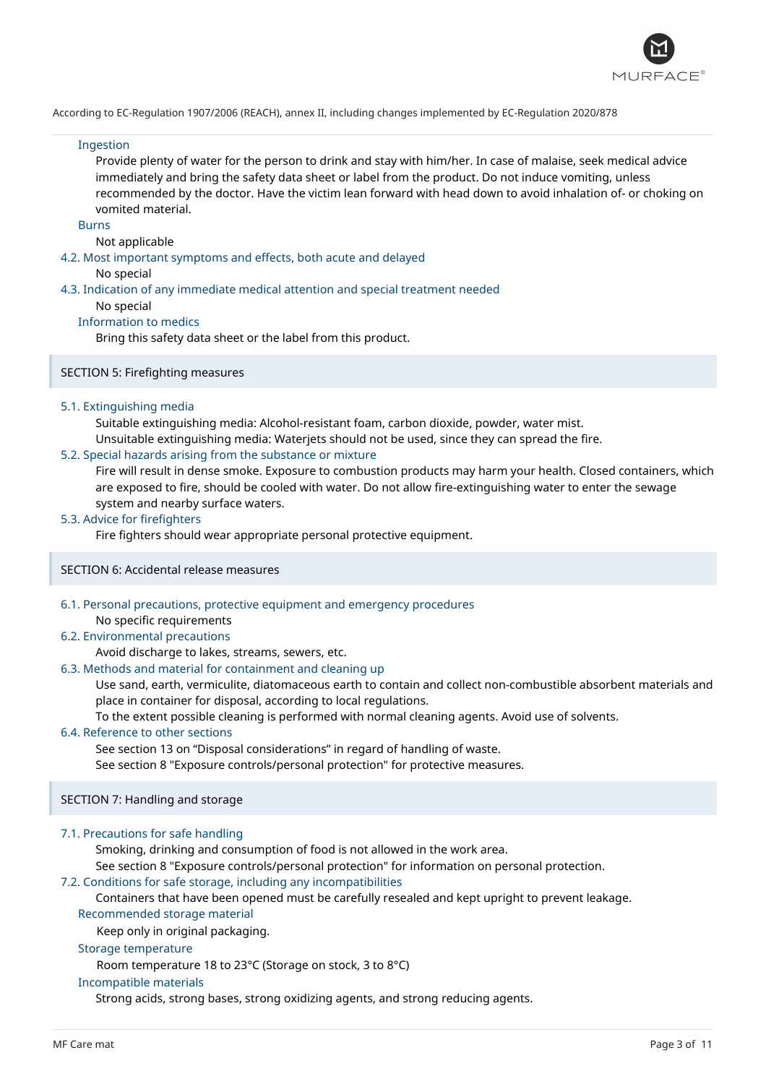

#### Ingestion

Provide plenty of water for the person to drink and stay with him/her. In case of malaise, seek medical advice immediately and bring the safety data sheet or label from the product. Do not induce vomiting, unless recommended by the doctor. Have the victim lean forward with head down to avoid inhalation of- or choking on vomited material.

Burns

#### Not applicable

#### 4.2. Most important symptoms and effects, both acute and delayed

No special

#### 4.3. Indication of any immediate medical attention and special treatment needed

No special

### Information to medics

Bring this safety data sheet or the label from this product.

### SECTION 5: Firefighting measures

#### 5.1. Extinguishing media

Suitable extinguishing media: Alcohol-resistant foam, carbon dioxide, powder, water mist. Unsuitable extinguishing media: Waterjets should not be used, since they can spread the fire.

#### 5.2. Special hazards arising from the substance or mixture

Fire will result in dense smoke. Exposure to combustion products may harm your health. Closed containers, which are exposed to fire, should be cooled with water. Do not allow fire-extinguishing water to enter the sewage system and nearby surface waters.

#### 5.3. Advice for firefighters

Fire fighters should wear appropriate personal protective equipment.

#### SECTION 6: Accidental release measures

6.1. Personal precautions, protective equipment and emergency procedures

No specific requirements

#### 6.2. Environmental precautions

## Avoid discharge to lakes, streams, sewers, etc.

## 6.3. Methods and material for containment and cleaning up

Use sand, earth, vermiculite, diatomaceous earth to contain and collect non-combustible absorbent materials and place in container for disposal, according to local regulations.

To the extent possible cleaning is performed with normal cleaning agents. Avoid use of solvents.

#### 6.4. Reference to other sections

See section 13 on "Disposal considerations" in regard of handling of waste.

See section 8 "Exposure controls/personal protection" for protective measures.

### SECTION 7: Handling and storage

#### 7.1. Precautions for safe handling

Smoking, drinking and consumption of food is not allowed in the work area.

See section 8 "Exposure controls/personal protection" for information on personal protection.

### 7.2. Conditions for safe storage, including any incompatibilities

Containers that have been opened must be carefully resealed and kept upright to prevent leakage.

## Recommended storage material

Keep only in original packaging.

### Storage temperature

Room temperature 18 to 23°C (Storage on stock, 3 to 8°C)

#### Incompatible materials

Strong acids, strong bases, strong oxidizing agents, and strong reducing agents.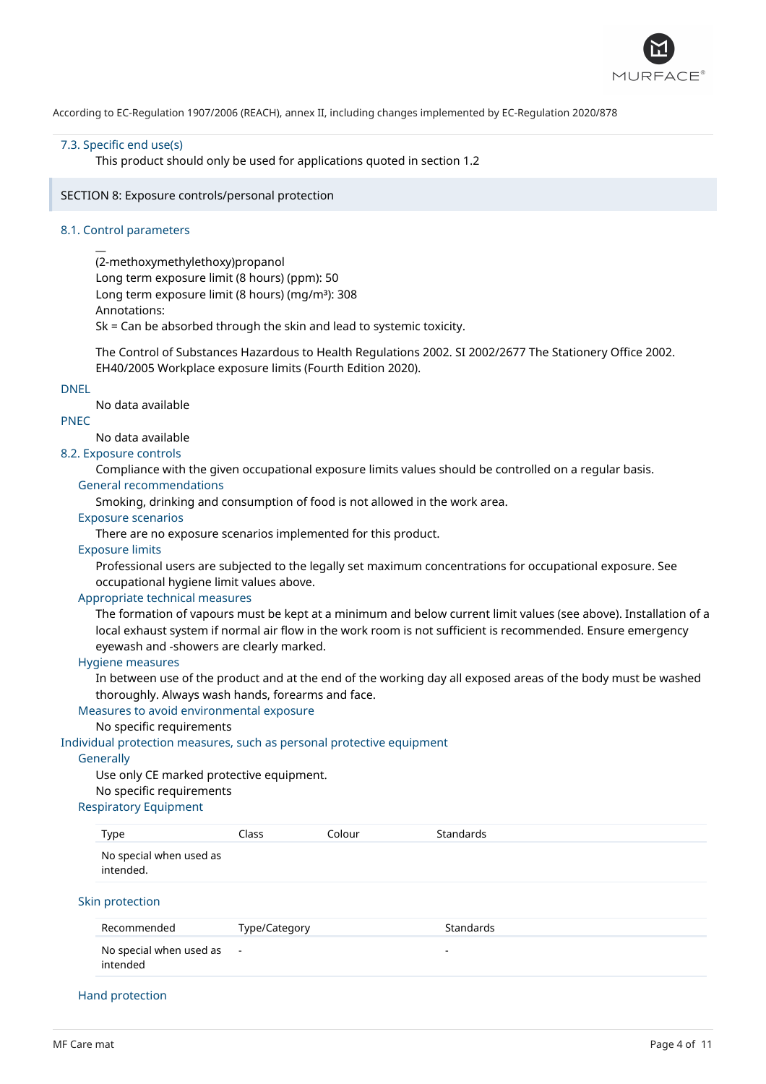

#### 7.3. Specific end use(s)

This product should only be used for applications quoted in section 1.2

#### SECTION 8: Exposure controls/personal protection

#### 8.1. Control parameters

 $\overline{a}$ 

(2-methoxymethylethoxy)propanol Long term exposure limit (8 hours) (ppm): 50 Long term exposure limit (8 hours) (mg/m<sup>3</sup>): 308 Annotations:

Sk = Can be absorbed through the skin and lead to systemic toxicity.

The Control of Substances Hazardous to Health Regulations 2002. SI 2002/2677 The Stationery Office 2002. EH40/2005 Workplace exposure limits (Fourth Edition 2020).

#### DNEL

No data available

## PNEC

No data available

## 8.2. Exposure controls

Compliance with the given occupational exposure limits values should be controlled on a regular basis. General recommendations

Smoking, drinking and consumption of food is not allowed in the work area.

## Exposure scenarios

There are no exposure scenarios implemented for this product.

#### Exposure limits

Professional users are subjected to the legally set maximum concentrations for occupational exposure. See occupational hygiene limit values above.

### Appropriate technical measures

The formation of vapours must be kept at a minimum and below current limit values (see above). Installation of a local exhaust system if normal air flow in the work room is not sufficient is recommended. Ensure emergency eyewash and -showers are clearly marked.

#### Hygiene measures

In between use of the product and at the end of the working day all exposed areas of the body must be washed thoroughly. Always wash hands, forearms and face.

Measures to avoid environmental exposure

## No specific requirements

### Individual protection measures, such as personal protective equipment

### **Generally**

Use only CE marked protective equipment.

## No specific requirements

## Respiratory Equipment

| Type                                 | Class         | Colour | <b>Standards</b>         |
|--------------------------------------|---------------|--------|--------------------------|
| No special when used as<br>intended. |               |        |                          |
| Skin protection                      |               |        |                          |
| Recommended                          | Type/Category |        | <b>Standards</b>         |
| No special when used as<br>intended  | $\sim$ $-$    |        | $\overline{\phantom{a}}$ |

#### Hand protection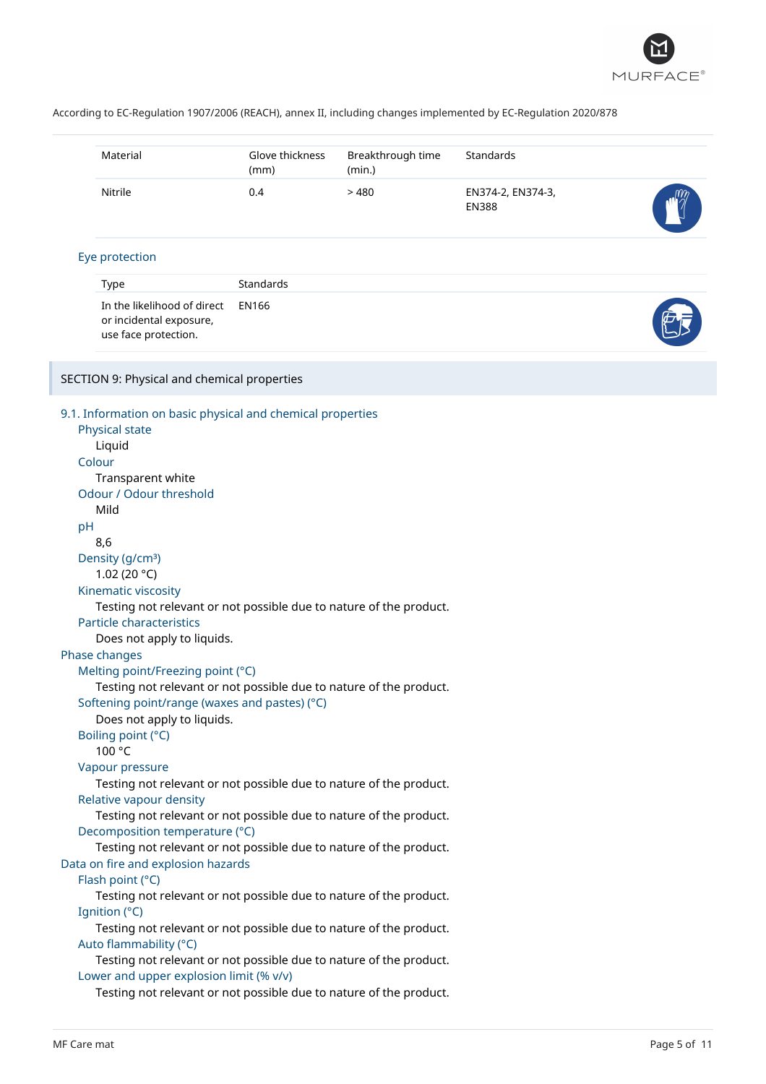

|    | Material                                                                                                                                                                                                                                                                                                                                                                                                                                                                                                                                                                                                                                                                                                                                                                                                                                                                                                                                                                          | Glove thickness<br>(mm) | Breakthrough time<br>(min.) | <b>Standards</b>                  |  |
|----|-----------------------------------------------------------------------------------------------------------------------------------------------------------------------------------------------------------------------------------------------------------------------------------------------------------------------------------------------------------------------------------------------------------------------------------------------------------------------------------------------------------------------------------------------------------------------------------------------------------------------------------------------------------------------------------------------------------------------------------------------------------------------------------------------------------------------------------------------------------------------------------------------------------------------------------------------------------------------------------|-------------------------|-----------------------------|-----------------------------------|--|
|    | Nitrile                                                                                                                                                                                                                                                                                                                                                                                                                                                                                                                                                                                                                                                                                                                                                                                                                                                                                                                                                                           | 0.4                     | >480                        | EN374-2, EN374-3,<br><b>EN388</b> |  |
|    | Eye protection                                                                                                                                                                                                                                                                                                                                                                                                                                                                                                                                                                                                                                                                                                                                                                                                                                                                                                                                                                    |                         |                             |                                   |  |
|    | Type                                                                                                                                                                                                                                                                                                                                                                                                                                                                                                                                                                                                                                                                                                                                                                                                                                                                                                                                                                              | Standards               |                             |                                   |  |
|    | In the likelihood of direct<br>or incidental exposure,<br>use face protection.                                                                                                                                                                                                                                                                                                                                                                                                                                                                                                                                                                                                                                                                                                                                                                                                                                                                                                    | <b>EN166</b>            |                             |                                   |  |
|    | SECTION 9: Physical and chemical properties                                                                                                                                                                                                                                                                                                                                                                                                                                                                                                                                                                                                                                                                                                                                                                                                                                                                                                                                       |                         |                             |                                   |  |
| pH | 9.1. Information on basic physical and chemical properties<br>Physical state<br>Liquid<br>Colour<br>Transparent white<br>Odour / Odour threshold<br>Mild<br>8,6<br>Density (g/cm <sup>3</sup> )<br>1.02 (20 $°C$ )<br>Kinematic viscosity<br>Testing not relevant or not possible due to nature of the product.<br>Particle characteristics<br>Does not apply to liquids.                                                                                                                                                                                                                                                                                                                                                                                                                                                                                                                                                                                                         |                         |                             |                                   |  |
|    | Phase changes<br>Melting point/Freezing point (°C)<br>Testing not relevant or not possible due to nature of the product.<br>Softening point/range (waxes and pastes) (°C)<br>Does not apply to liquids.<br>Boiling point (°C)<br>100 °C<br>Vapour pressure<br>Testing not relevant or not possible due to nature of the product.<br>Relative vapour density<br>Testing not relevant or not possible due to nature of the product.<br>Decomposition temperature (°C)<br>Testing not relevant or not possible due to nature of the product.<br>Data on fire and explosion hazards<br>Flash point (°C)<br>Testing not relevant or not possible due to nature of the product.<br>Ignition (°C)<br>Testing not relevant or not possible due to nature of the product.<br>Auto flammability (°C)<br>Testing not relevant or not possible due to nature of the product.<br>Lower and upper explosion limit (% v/v)<br>Testing not relevant or not possible due to nature of the product. |                         |                             |                                   |  |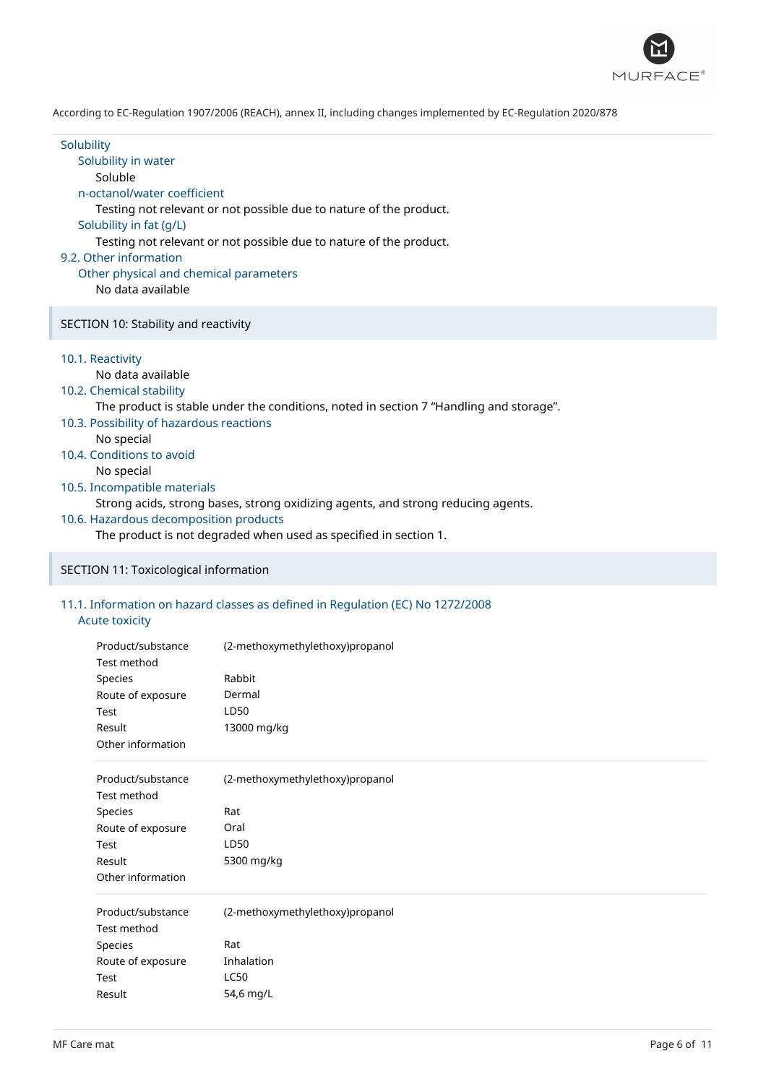

## **Solubility** Solubility in water Soluble n-octanol/water coefficient Testing not relevant or not possible due to nature of the product. Solubility in fat (g/L) Testing not relevant or not possible due to nature of the product. 9.2. Other information Other physical and chemical parameters No data available SECTION 10: Stability and reactivity 10.1. Reactivity No data available 10.2. Chemical stability The product is stable under the conditions, noted in section 7 "Handling and storage". 10.3. Possibility of hazardous reactions No special 10.4. Conditions to avoid No special 10.5. Incompatible materials Strong acids, strong bases, strong oxidizing agents, and strong reducing agents. 10.6. Hazardous decomposition products

The product is not degraded when used as specified in section 1.

## SECTION 11: Toxicological information

## 11.1. Information on hazard classes as defined in Regulation (EC) No 1272/2008

## Acute toxicity

| Product/substance<br>Test method | (2-methoxymethylethoxy)propanol |
|----------------------------------|---------------------------------|
| Species                          | Rabbit                          |
| Route of exposure                | Dermal                          |
| Test                             | LD50                            |
| Result                           | 13000 mg/kg                     |
| Other information                |                                 |
| Product/substance                | (2-methoxymethylethoxy)propanol |
| Test method                      |                                 |
| Species                          | Rat                             |
| Route of exposure                | Oral                            |
| Test                             | LD50                            |
| Result                           | 5300 mg/kg                      |
| Other information                |                                 |
| Product/substance                | (2-methoxymethylethoxy)propanol |
| Test method                      |                                 |
| Species                          | Rat                             |
| Route of exposure                | Inhalation                      |
| Test                             | LC50                            |
| Result                           | 54,6 mg/L                       |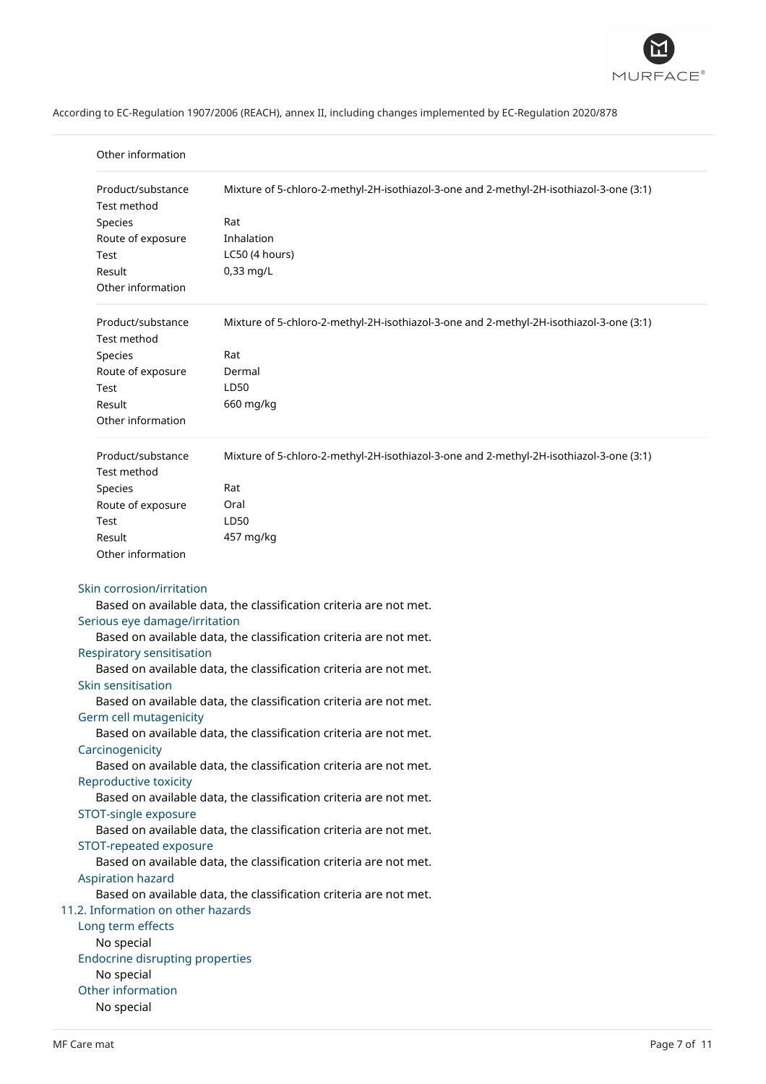

| Product/substance<br>Test method       | Mixture of 5-chloro-2-methyl-2H-isothiazol-3-one and 2-methyl-2H-isothiazol-3-one (3:1) |
|----------------------------------------|-----------------------------------------------------------------------------------------|
| Species                                | Rat                                                                                     |
| Route of exposure                      | Inhalation                                                                              |
| Test                                   | LC50 (4 hours)                                                                          |
| Result                                 | 0,33 mg/L                                                                               |
| Other information                      |                                                                                         |
| Product/substance<br>Test method       | Mixture of 5-chloro-2-methyl-2H-isothiazol-3-one and 2-methyl-2H-isothiazol-3-one (3:1) |
| Species                                | Rat                                                                                     |
| Route of exposure                      | Dermal                                                                                  |
| Test                                   | LD50                                                                                    |
| Result                                 | 660 mg/kg                                                                               |
| Other information                      |                                                                                         |
| Product/substance<br>Test method       | Mixture of 5-chloro-2-methyl-2H-isothiazol-3-one and 2-methyl-2H-isothiazol-3-one (3:1) |
| Species                                | Rat                                                                                     |
| Route of exposure                      | Oral                                                                                    |
| Test                                   | LD50                                                                                    |
| Result                                 | 457 mg/kg                                                                               |
| Other information                      |                                                                                         |
| Skin corrosion/irritation              |                                                                                         |
|                                        | Based on available data, the classification criteria are not met.                       |
| Serious eye damage/irritation          | Based on available data, the classification criteria are not met.                       |
| Respiratory sensitisation              |                                                                                         |
|                                        | Based on available data, the classification criteria are not met.                       |
| Skin sensitisation                     |                                                                                         |
|                                        | Based on available data, the classification criteria are not met.                       |
| Germ cell mutagenicity                 |                                                                                         |
| Carcinogenicity                        | Based on available data, the classification criteria are not met.                       |
|                                        | Based on available data, the classification criteria are not met.                       |
| Reproductive toxicity                  |                                                                                         |
|                                        | Based on available data, the classification criteria are not met.                       |
| STOT-single exposure                   |                                                                                         |
|                                        | Based on available data, the classification criteria are not met.                       |
| STOT-repeated exposure                 |                                                                                         |
|                                        | Based on available data, the classification criteria are not met.                       |
| <b>Aspiration hazard</b>               |                                                                                         |
|                                        | Based on available data, the classification criteria are not met.                       |
| 11.2. Information on other hazards     |                                                                                         |
| Long term effects                      |                                                                                         |
| No special                             |                                                                                         |
| <b>Endocrine disrupting properties</b> |                                                                                         |
| No special<br>Other information        |                                                                                         |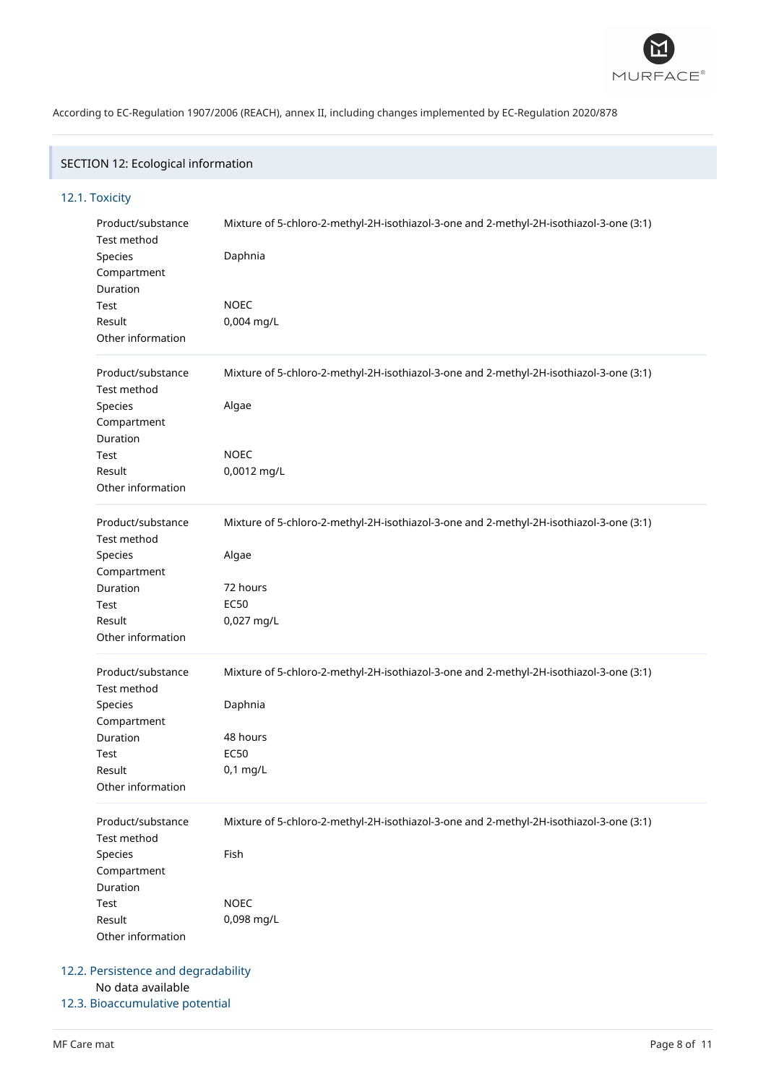

## SECTION 12: Ecological information

## 12.1. Toxicity

| Product/substance<br>Test method<br>Species<br>Compartment<br>Duration<br>Test<br>Result<br>Other information | Mixture of 5-chloro-2-methyl-2H-isothiazol-3-one and 2-methyl-2H-isothiazol-3-one (3:1)<br>Daphnia<br><b>NOEC</b><br>0,004 mg/L             |
|---------------------------------------------------------------------------------------------------------------|---------------------------------------------------------------------------------------------------------------------------------------------|
| Product/substance<br>Test method<br>Species<br>Compartment<br>Duration<br>Test                                | Mixture of 5-chloro-2-methyl-2H-isothiazol-3-one and 2-methyl-2H-isothiazol-3-one (3:1)<br>Algae<br><b>NOEC</b>                             |
| Result<br>Other information                                                                                   | 0,0012 mg/L                                                                                                                                 |
| Product/substance<br>Test method<br>Species<br>Compartment<br>Duration<br>Test<br>Result<br>Other information | Mixture of 5-chloro-2-methyl-2H-isothiazol-3-one and 2-methyl-2H-isothiazol-3-one (3:1)<br>Algae<br>72 hours<br><b>EC50</b><br>0,027 mg/L   |
| Product/substance<br>Test method<br>Species<br>Compartment<br>Duration<br>Test<br>Result<br>Other information | Mixture of 5-chloro-2-methyl-2H-isothiazol-3-one and 2-methyl-2H-isothiazol-3-one (3:1)<br>Daphnia<br>48 hours<br><b>EC50</b><br>$0,1$ mg/L |
| Product/substance<br>Test method<br>Species<br>Compartment<br>Duration<br>Test<br>Result<br>Other information | Mixture of 5-chloro-2-methyl-2H-isothiazol-3-one and 2-methyl-2H-isothiazol-3-one (3:1)<br>Fish<br><b>NOEC</b><br>0,098 mg/L                |

## 12.2. Persistence and degradability No data available

12.3. Bioaccumulative potential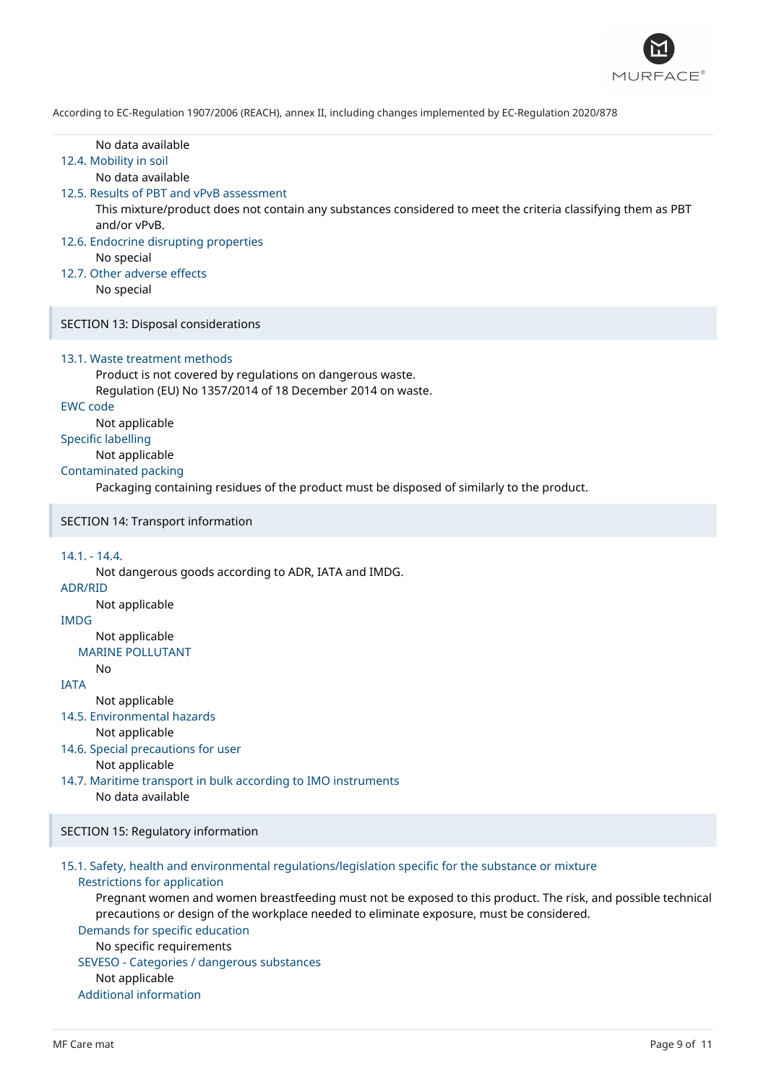

| According to EC-Regulation 1907/2000 (REACH), anniex II, including changes implemented by EC-Regulation 2020/070                                                                                                                                                                                                                                                                                                                                                                                                       |
|------------------------------------------------------------------------------------------------------------------------------------------------------------------------------------------------------------------------------------------------------------------------------------------------------------------------------------------------------------------------------------------------------------------------------------------------------------------------------------------------------------------------|
| No data available<br>12.4. Mobility in soil<br>No data available<br>12.5. Results of PBT and vPvB assessment<br>This mixture/product does not contain any substances considered to meet the criteria classifying them as PBT<br>and/or vPvB.<br>12.6. Endocrine disrupting properties<br>No special<br>12.7. Other adverse effects<br>No special                                                                                                                                                                       |
| SECTION 13: Disposal considerations                                                                                                                                                                                                                                                                                                                                                                                                                                                                                    |
| 13.1. Waste treatment methods<br>Product is not covered by regulations on dangerous waste.<br>Regulation (EU) No 1357/2014 of 18 December 2014 on waste.<br><b>EWC code</b><br>Not applicable<br><b>Specific labelling</b><br>Not applicable<br><b>Contaminated packing</b><br>Packaging containing residues of the product must be disposed of similarly to the product.                                                                                                                                              |
| SECTION 14: Transport information                                                                                                                                                                                                                                                                                                                                                                                                                                                                                      |
| $14.1 - 14.4$ .<br>Not dangerous goods according to ADR, IATA and IMDG.<br><b>ADR/RID</b><br>Not applicable<br><b>IMDG</b><br>Not applicable<br><b>MARINE POLLUTANT</b><br>No<br><b>IATA</b><br>Not applicable<br>14.5. Environmental hazards<br>Not applicable<br>14.6. Special precautions for user<br>Not applicable<br>14.7. Maritime transport in bulk according to IMO instruments<br>No data available                                                                                                          |
| <b>SECTION 15: Regulatory information</b>                                                                                                                                                                                                                                                                                                                                                                                                                                                                              |
| 15.1. Safety, health and environmental regulations/legislation specific for the substance or mixture<br><b>Restrictions for application</b><br>Pregnant women and women breastfeeding must not be exposed to this product. The risk, and possible technical<br>precautions or design of the workplace needed to eliminate exposure, must be considered.<br>Demands for specific education<br>No specific requirements<br>SEVESO - Categories / dangerous substances<br>Not applicable<br><b>Additional information</b> |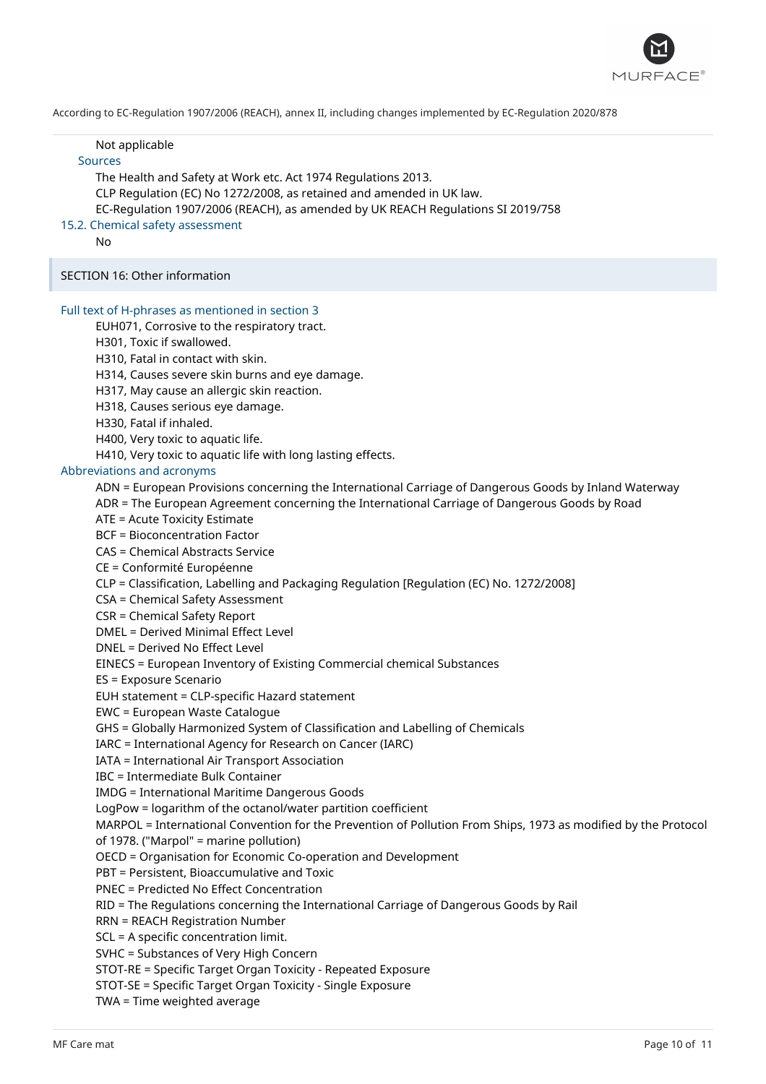

#### Not applicable

## Sources

The Health and Safety at Work etc. Act 1974 Regulations 2013. CLP Regulation (EC) No 1272/2008, as retained and amended in UK law. EC-Regulation 1907/2006 (REACH), as amended by UK REACH Regulations SI 2019/758

## 15.2. Chemical safety assessment

No

SECTION 16: Other information

#### Full text of H-phrases as mentioned in section 3

EUH071, Corrosive to the respiratory tract.

H301, Toxic if swallowed.

H310, Fatal in contact with skin.

H314, Causes severe skin burns and eye damage.

H317, May cause an allergic skin reaction.

H318, Causes serious eye damage.

H330, Fatal if inhaled.

H400, Very toxic to aquatic life.

H410, Very toxic to aquatic life with long lasting effects.

## Abbreviations and acronyms

ADN = European Provisions concerning the International Carriage of Dangerous Goods by Inland Waterway

ADR = The European Agreement concerning the International Carriage of Dangerous Goods by Road

ATE = Acute Toxicity Estimate

BCF = Bioconcentration Factor

CAS = Chemical Abstracts Service

CE = Conformité Européenne

CLP = Classification, Labelling and Packaging Regulation [Regulation (EC) No. 1272/2008]

CSA = Chemical Safety Assessment

CSR = Chemical Safety Report

DMEL = Derived Minimal Effect Level

DNEL = Derived No Effect Level

EINECS = European Inventory of Existing Commercial chemical Substances

ES = Exposure Scenario

EUH statement = CLP-specific Hazard statement

EWC = European Waste Catalogue

GHS = Globally Harmonized System of Classification and Labelling of Chemicals

IARC = International Agency for Research on Cancer (IARC)

IATA = International Air Transport Association

IBC = Intermediate Bulk Container

IMDG = International Maritime Dangerous Goods

LogPow = logarithm of the octanol/water partition coefficient

MARPOL = International Convention for the Prevention of Pollution From Ships, 1973 as modified by the Protocol of 1978. ("Marpol" = marine pollution)

OECD = Organisation for Economic Co-operation and Development

PBT = Persistent, Bioaccumulative and Toxic

PNEC = Predicted No Effect Concentration

RID = The Regulations concerning the International Carriage of Dangerous Goods by Rail

RRN = REACH Registration Number

SCL = A specific concentration limit.

SVHC = Substances of Very High Concern

STOT-RE = Specific Target Organ Toxicity - Repeated Exposure

STOT-SE = Specific Target Organ Toxicity - Single Exposure

TWA = Time weighted average